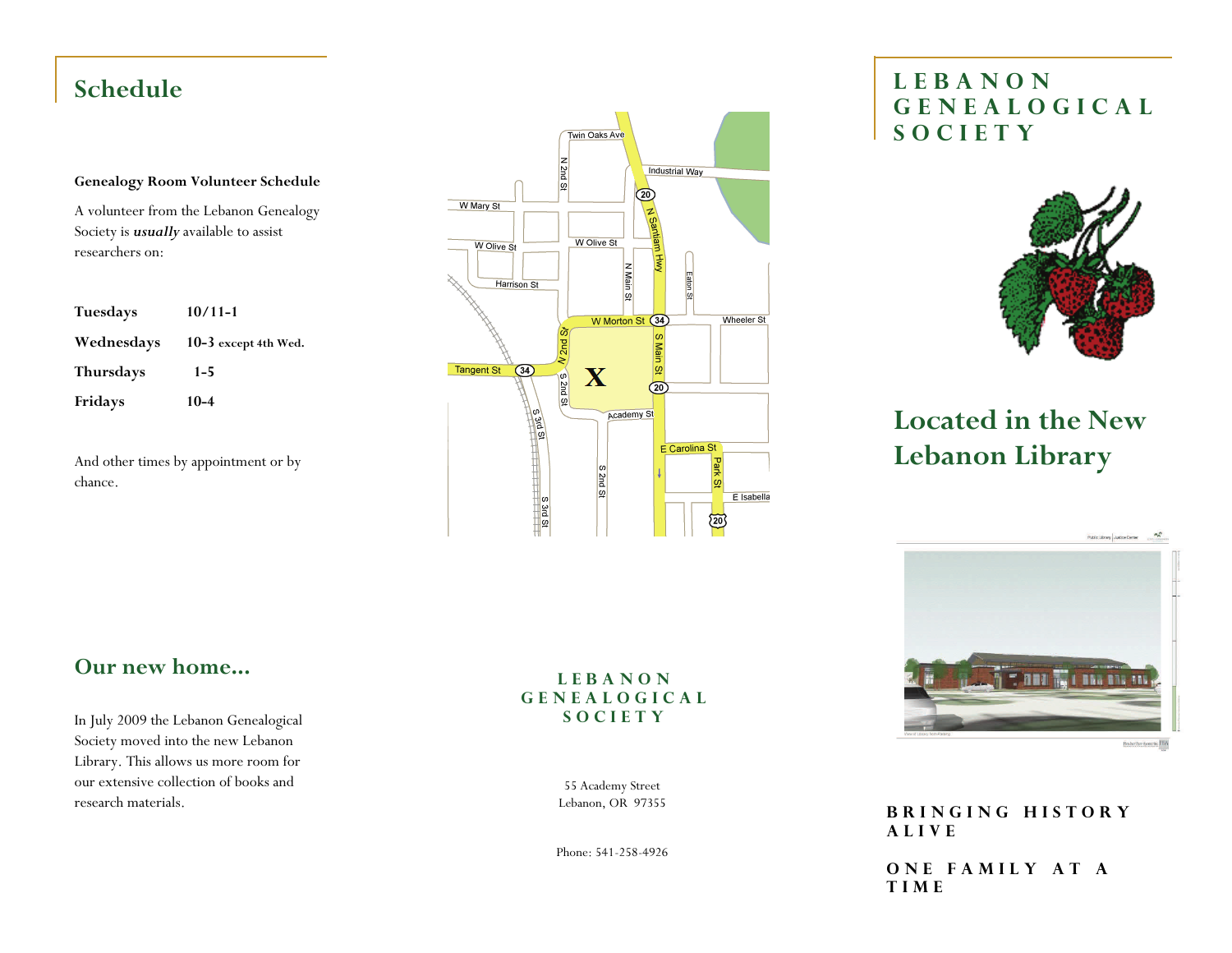### **Genealogy Room Volunteer Schedule**

A volunteer from the Lebanon Genealogy Society is *usually* available to assist researchers on:

| <b>Tuesdays</b>  | $10/11 - 1$          |
|------------------|----------------------|
| Wednesdays       | 10-3 except 4th Wed. |
| <b>Thursdays</b> | $1 - 5$              |
| Fridays          | $10 - 4$             |

And other times by appointment or by chance.



# **Schedule LEBANON GENEALOGICAL SOCIETY**



# **Located in the New Lebanon Library**

**Our new home...** 

In July 2009 the Lebanon Genealogical Society moved into the new Lebanon Library. This allows us more room for our extensive collection of books and research materials.

## **LEBANON GENEALOGICAL SOCIETY**

55 Academy Street Lebanon, OR 97355

Phone: 541-258-4926



**Basber Parr Ayoue Lie HTA** 

**BRINGING HISTORY ALIVE** 

**ONE FAMILY AT A TIME**